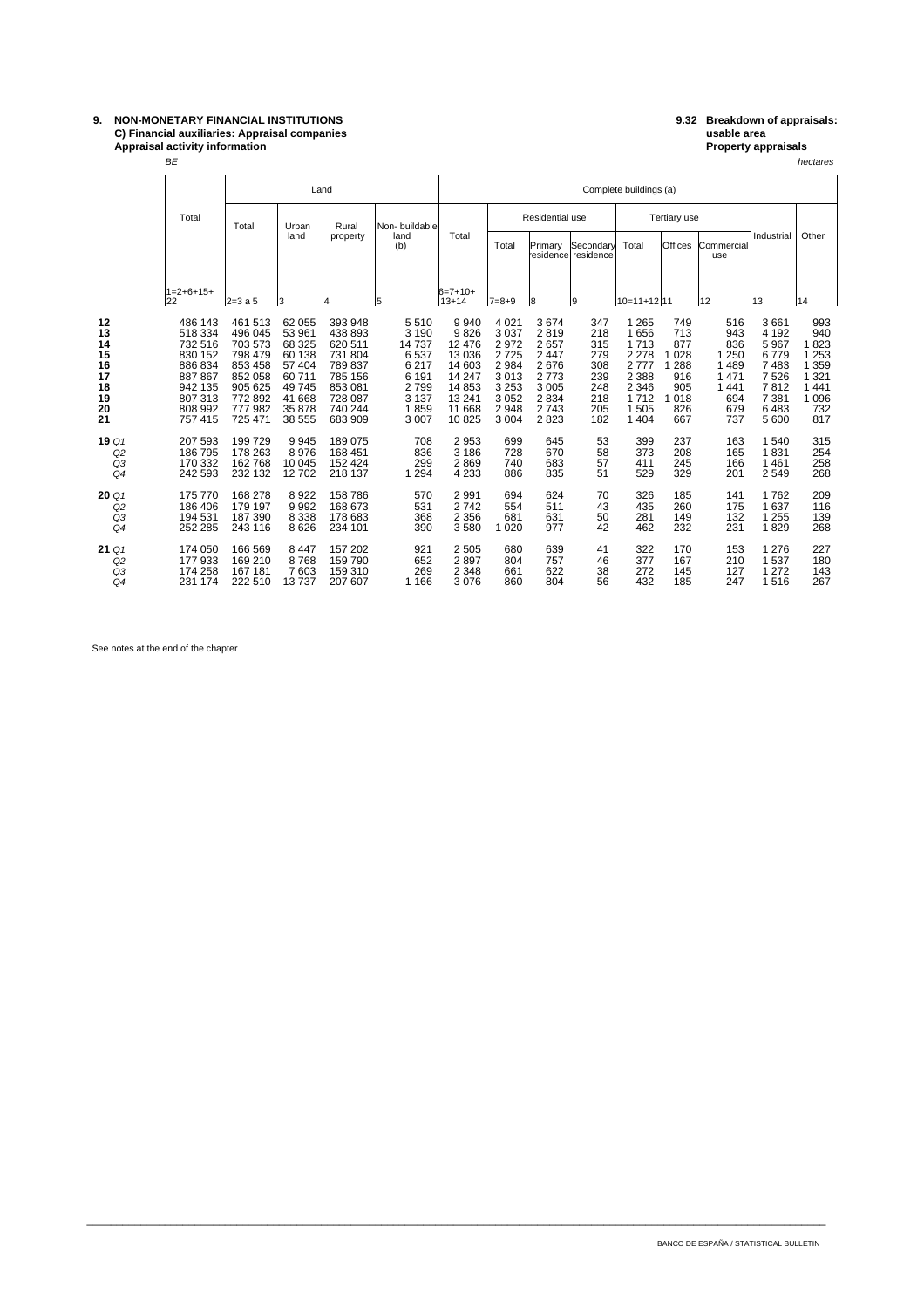## **9. NON-MONETARY FINANCIAL INSTITUTIONS 9.32 Breakdown of appraisals: C) Financial auxiliaries: Appraisal companies usable area Appraisal activity information Property appraisals**

 $BE$  hectares are the contract of the contract of the contract of the contract of the contract of the contract of the contract of the contract of the contract of the contract of the contract of the contract of the contract BE

|                                                          |                            |                                                                                                            | Land                                                                                                      |                                                                                                |                                                                                                            |                                                                                              | Complete buildings (a)                                                                        |                                                                                               |                                                                                    |                                                                    |                                                                                             |                                                                     |                                                                                    |                                                                                           |                                                                                         |
|----------------------------------------------------------|----------------------------|------------------------------------------------------------------------------------------------------------|-----------------------------------------------------------------------------------------------------------|------------------------------------------------------------------------------------------------|------------------------------------------------------------------------------------------------------------|----------------------------------------------------------------------------------------------|-----------------------------------------------------------------------------------------------|-----------------------------------------------------------------------------------------------|------------------------------------------------------------------------------------|--------------------------------------------------------------------|---------------------------------------------------------------------------------------------|---------------------------------------------------------------------|------------------------------------------------------------------------------------|-------------------------------------------------------------------------------------------|-----------------------------------------------------------------------------------------|
|                                                          |                            | Total                                                                                                      | Total                                                                                                     | Urban                                                                                          | Rural                                                                                                      | Non-buildable                                                                                |                                                                                               | Residential use                                                                               |                                                                                    |                                                                    | Tertiary use                                                                                |                                                                     |                                                                                    |                                                                                           |                                                                                         |
|                                                          |                            |                                                                                                            | land                                                                                                      |                                                                                                | property                                                                                                   | land<br>(b)                                                                                  | Total                                                                                         | Total                                                                                         | Primary                                                                            | Secondary<br>residencel residence                                  | Total                                                                                       | Offices                                                             | Commercial<br>use                                                                  | Industrial                                                                                | Other                                                                                   |
|                                                          |                            | $1=2+6+15+$<br>22                                                                                          | $2 = 3a5$                                                                                                 | 13                                                                                             | 14                                                                                                         | 5                                                                                            | $6=7+10+$<br>13+14                                                                            | $7 = 8 + 9$                                                                                   | 18                                                                                 | l9                                                                 | 10=11+12111                                                                                 |                                                                     | 12                                                                                 | 13                                                                                        | 14                                                                                      |
| 12<br>13<br>14<br>15<br>16<br>17<br>18<br>19<br>20<br>21 |                            | 486 143<br>518 334<br>732 516<br>830 152<br>886 834<br>887 867<br>942 135<br>807 313<br>808 992<br>757 415 | 461 513<br>496 045<br>703 573<br>798 479<br>853 458<br>852 058<br>905 625<br>772892<br>777 982<br>725 471 | 62 055<br>53 961<br>68 325<br>60 138<br>57 404<br>60711<br>49745<br>41 668<br>35 878<br>38 555 | 393 948<br>438 893<br>620 511<br>731 804<br>789 837<br>785 156<br>853 081<br>728 087<br>740 244<br>683 909 | 5510<br>3 1 9 0<br>14737<br>6537<br>6 2 1 7<br>6 1 9 1<br>2799<br>3 1 3 7<br>1859<br>3 0 0 7 | 9940<br>9826<br>12 476<br>13 0 36<br>14 603<br>14 247<br>14 8 53<br>13 241<br>11 668<br>10825 | 4 0 21<br>3 0 3 7<br>2972<br>2725<br>2 9 8 4<br>3013<br>3 2 5 3<br>3 0 5 2<br>2948<br>3 0 0 4 | 3674<br>2819<br>2657<br>2 4 4 7<br>2676<br>2773<br>3 0 0 5<br>2834<br>2743<br>2823 | 347<br>218<br>315<br>279<br>308<br>239<br>248<br>218<br>205<br>182 | 1 2 6 5<br>1656<br>1713<br>2 2 7 8<br>2777<br>2 3 8 8<br>2 3 4 6<br>1712<br>1505<br>1 4 0 4 | 749<br>713<br>877<br>028<br>288<br>916<br>905<br>1018<br>826<br>667 | 516<br>943<br>836<br>1 2 5 0<br>1 4 8 9<br>1 4 7 1<br>1 4 4 1<br>694<br>679<br>737 | 3661<br>4 1 9 2<br>5 9 6 7<br>6779<br>7 4 8 3<br>7526<br>7812<br>7 3 8 1<br>6483<br>5 600 | 993<br>940<br>1823<br>1 2 5 3<br>1 3 5 9<br>1 3 2 1<br>1 4 4 1<br>1 0 9 6<br>732<br>817 |
| 19 Q1                                                    | Q2<br>Q3<br>Q4             | 207 593<br>186 795<br>170 332<br>242 593                                                                   | 199 729<br>178 263<br>162 768<br>232 132                                                                  | 9945<br>8976<br>10 045<br>12702                                                                | 189 075<br>168 451<br>152 424<br>218 137                                                                   | 708<br>836<br>299<br>1 2 9 4                                                                 | 2953<br>3 1 8 6<br>2869<br>4 2 3 3                                                            | 699<br>728<br>740<br>886                                                                      | 645<br>670<br>683<br>835                                                           | 53<br>58<br>57<br>51                                               | 399<br>373<br>411<br>529                                                                    | 237<br>208<br>245<br>329                                            | 163<br>165<br>166<br>201                                                           | 1540<br>1831<br>1461<br>2549                                                              | 315<br>254<br>258<br>268                                                                |
| 20Q1                                                     | Q2<br>Q3<br>Q <sub>4</sub> | 175 770<br>186 406<br>194 531<br>252 285                                                                   | 168 278<br>179 197<br>187 390<br>243 116                                                                  | 8922<br>9992<br>8 3 3 8<br>8626                                                                | 158 786<br>168 673<br>178 683<br>234 101                                                                   | 570<br>531<br>368<br>390                                                                     | 2991<br>2742<br>2 3 5 6<br>3580                                                               | 694<br>554<br>681<br>1 0 2 0                                                                  | 624<br>511<br>631<br>977                                                           | 70<br>43<br>50<br>42                                               | 326<br>435<br>281<br>462                                                                    | 185<br>260<br>149<br>232                                            | 141<br>175<br>132<br>231                                                           | 1762<br>1637<br>1 2 5 5<br>1829                                                           | 209<br>116<br>139<br>268                                                                |
| 21Q1                                                     | Q2<br>Q3<br>Q4             | 174 050<br>177 933<br>174 258<br>231 174                                                                   | 166 569<br>169 210<br>167 181<br>222 510                                                                  | 8 4 4 7<br>8768<br>7603<br>13737                                                               | 157 202<br>159 790<br>159 310<br>207 607                                                                   | 921<br>652<br>269<br>1 1 6 6                                                                 | 2 5 0 5<br>2897<br>2 3 4 8<br>3076                                                            | 680<br>804<br>661<br>860                                                                      | 639<br>757<br>622<br>804                                                           | 41<br>46<br>38<br>56                                               | 322<br>377<br>272<br>432                                                                    | 170<br>167<br>145<br>185                                            | 153<br>210<br>127<br>247                                                           | 1 2 7 6<br>1537<br>1 2 7 2<br>1516                                                        | 227<br>180<br>143<br>267                                                                |

\_\_\_\_\_\_\_\_\_\_\_\_\_\_\_\_\_\_\_\_\_\_\_\_\_\_\_\_\_\_\_\_\_\_\_\_\_\_\_\_\_\_\_\_\_\_\_\_\_\_\_\_\_\_\_\_\_\_\_\_\_\_\_\_\_\_\_\_\_\_\_\_\_\_\_\_\_\_\_\_\_\_\_\_\_\_\_\_\_\_\_\_\_\_\_\_\_\_\_\_\_\_\_\_\_\_\_\_\_\_\_\_\_\_\_\_\_\_\_\_\_\_\_

See notes at the end of the chapter